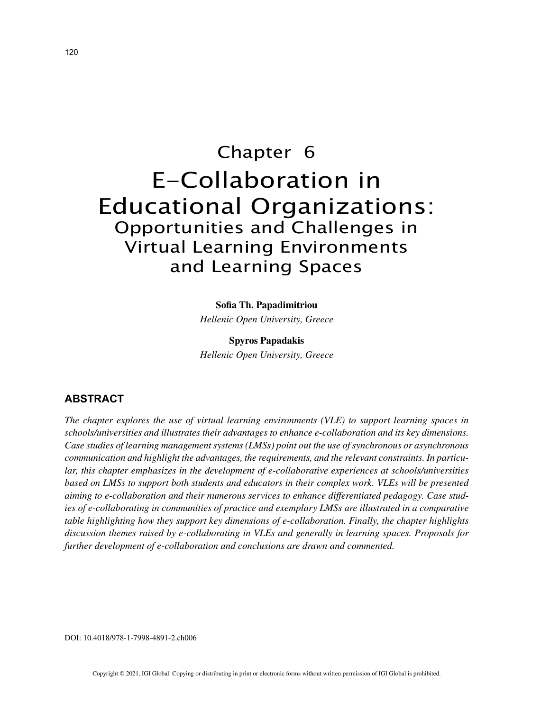# Chapter 6 E-Collaboration in Educational Organizations: Opportunities and Challenges in Virtual Learning Environments and Learning Spaces

### **Sofia Th. Papadimitriou**

*Hellenic Open University, Greece*

**Spyros Papadakis** *Hellenic Open University, Greece*

## **ABSTRACT**

*The chapter explores the use of virtual learning environments (VLE) to support learning spaces in schools/universities and illustrates their advantages to enhance e-collaboration and its key dimensions. Case studies of learning management systems (LMSs) point out the use of synchronous or asynchronous communication and highlight the advantages, the requirements, and the relevant constraints. In particular, this chapter emphasizes in the development of e-collaborative experiences at schools/universities based on LMSs to support both students and educators in their complex work. VLEs will be presented aiming to e-collaboration and their numerous services to enhance differentiated pedagogy. Case studies of e-collaborating in communities of practice and exemplary LMSs are illustrated in a comparative table highlighting how they support key dimensions of e-collaboration. Finally, the chapter highlights discussion themes raised by e-collaborating in VLEs and generally in learning spaces. Proposals for further development of e-collaboration and conclusions are drawn and commented.*

DOI: 10.4018/978-1-7998-4891-2.ch006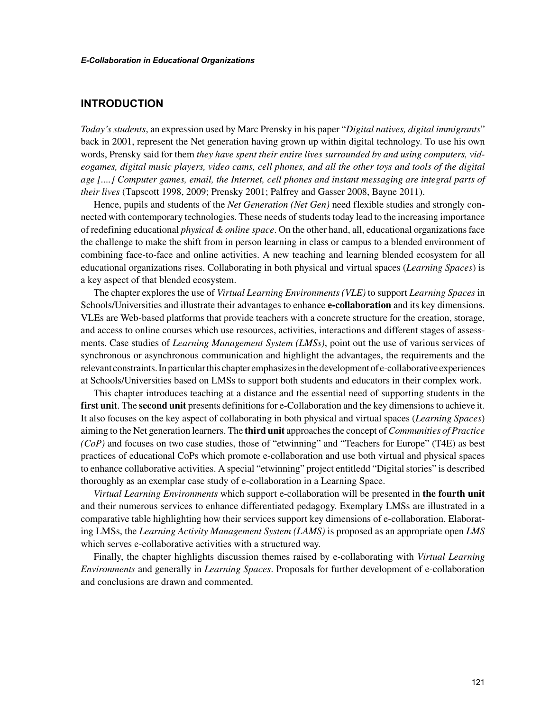## **INTRODUCTION**

*Today's students*, an expression used by Marc Prensky in his paper "*Digital natives, digital immigrants*" back in 2001, represent the Net generation having grown up within digital technology. To use his own words, Prensky said for them *they have spent their entire lives surrounded by and using computers, videogames, digital music players, video cams, cell phones, and all the other toys and tools of the digital age [....] Computer games, email, the Internet, cell phones and instant messaging are integral parts of their lives* (Tapscott 1998, 2009; Prensky 2001; Palfrey and Gasser 2008, Bayne 2011).

Hence, pupils and students of the *Net Generation (Net Gen)* need flexible studies and strongly connected with contemporary technologies. These needs of students today lead to the increasing importance of redefining educational *physical & online space*. On the other hand, all, educational organizations face the challenge to make the shift from in person learning in class or campus to a blended environment of combining face-to-face and online activities. A new teaching and learning blended ecosystem for all educational organizations rises. Collaborating in both physical and virtual spaces (*Learning Spaces*) is a key aspect of that blended ecosystem.

The chapter explores the use of *Virtual Learning Environments (VLE)* to support *Learning Spaces* in Schools/Universities and illustrate their advantages to enhance **e-collaboration** and its key dimensions. VLEs are Web-based platforms that provide teachers with a concrete structure for the creation, storage, and access to online courses which use resources, activities, interactions and different stages of assessments. Case studies of *Learning Management System (LMSs)*, point out the use of various services of synchronous or asynchronous communication and highlight the advantages, the requirements and the relevant constraints. In particular this chapter emphasizes in the development of e-collaborative experiences at Schools/Universities based on LMSs to support both students and educators in their complex work.

This chapter introduces teaching at a distance and the essential need of supporting students in the **first unit**. The **second unit** presents definitions for e-Collaboration and the key dimensions to achieve it. It also focuses on the key aspect of collaborating in both physical and virtual spaces (*Learning Spaces*) aiming to the Net generation learners. The **third unit** approaches the concept of *Communities of Practice (CoP)* and focuses on two case studies, those of "etwinning" and "Teachers for Europe" (T4E) as best practices of educational CoPs which promote e-collaboration and use both virtual and physical spaces to enhance collaborative activities. A special "etwinning" project entitledd "Digital stories" is described thoroughly as an exemplar case study of e-collaboration in a Learning Space.

*Virtual Learning Environments* which support e-collaboration will be presented in **the fourth unit** and their numerous services to enhance differentiated pedagogy. Exemplary LMSs are illustrated in a comparative table highlighting how their services support key dimensions of e-collaboration. Elaborating LMSs, the *Learning Activity Management System (LAMS)* is proposed as an appropriate open *LMS* which serves e-collaborative activities with a structured way.

Finally, the chapter highlights discussion themes raised by e-collaborating with *Virtual Learning Environments* and generally in *Learning Spaces*. Proposals for further development of e-collaboration and conclusions are drawn and commented.